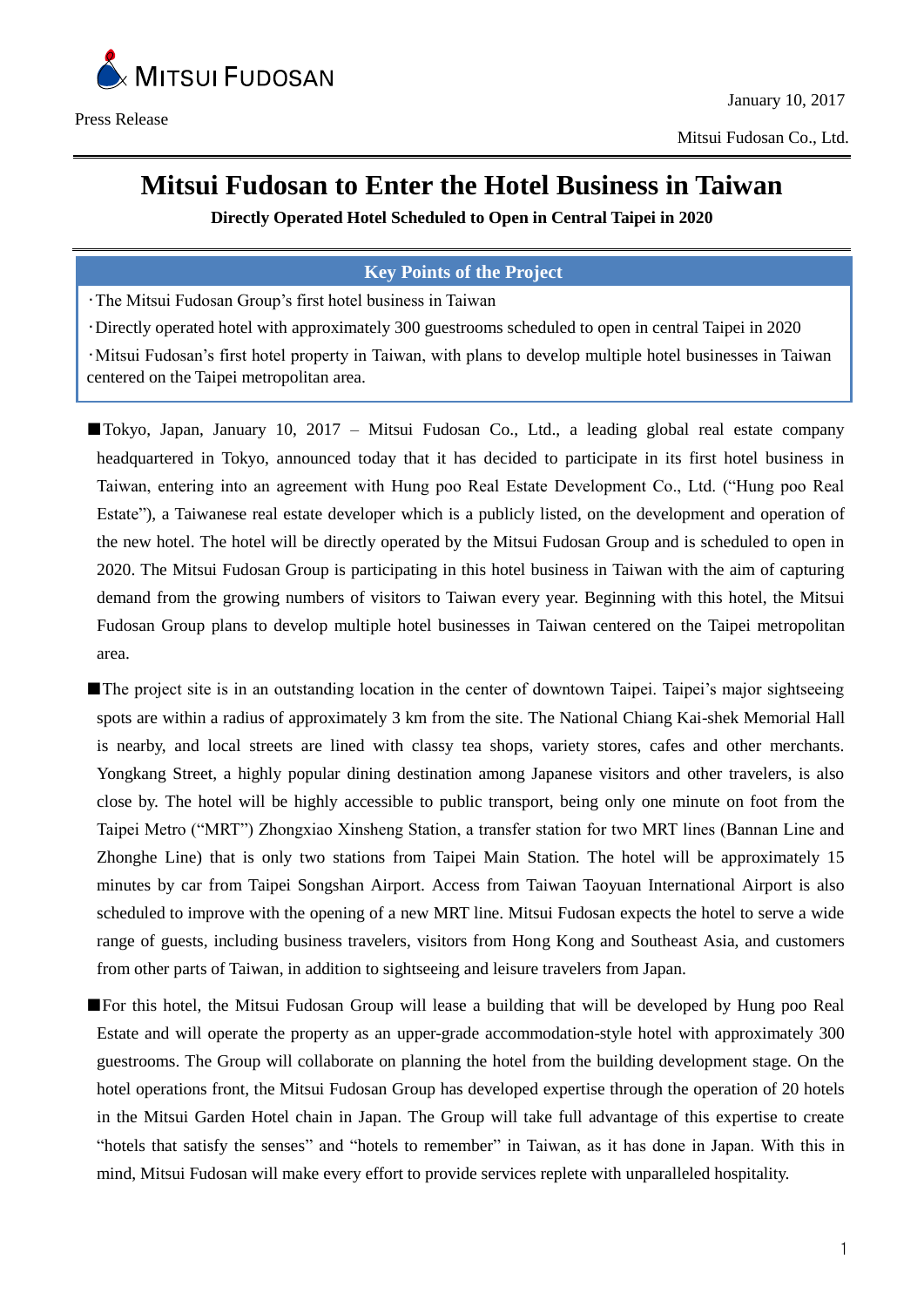

# **Mitsui Fudosan to Enter the Hotel Business in Taiwan**

**Directly Operated Hotel Scheduled to Open in Central Taipei in 2020**

## **Key Points of the Project**

・The Mitsui Fudosan Group's first hotel business in Taiwan

・Directly operated hotel with approximately 300 guestrooms scheduled to open in central Taipei in 2020

・Mitsui Fudosan's first hotel property in Taiwan, with plans to develop multiple hotel businesses in Taiwan centered on the Taipei metropolitan area.

■Tokyo, Japan, January 10, 2017 – Mitsui Fudosan Co., Ltd., a leading global real estate company headquartered in Tokyo, announced today that it has decided to participate in its first hotel business in Taiwan, entering into an agreement with Hung poo Real Estate Development Co., Ltd. ("Hung poo Real Estate"), a Taiwanese real estate developer which is a publicly listed, on the development and operation of the new hotel. The hotel will be directly operated by the Mitsui Fudosan Group and is scheduled to open in 2020. The Mitsui Fudosan Group is participating in this hotel business in Taiwan with the aim of capturing demand from the growing numbers of visitors to Taiwan every year. Beginning with this hotel, the Mitsui Fudosan Group plans to develop multiple hotel businesses in Taiwan centered on the Taipei metropolitan area.

■The project site is in an outstanding location in the center of downtown Taipei. Taipei's major sightseeing spots are within a radius of approximately 3 km from the site. The National Chiang Kai-shek Memorial Hall is nearby, and local streets are lined with classy tea shops, variety stores, cafes and other merchants. Yongkang Street, a highly popular dining destination among Japanese visitors and other travelers, is also close by. The hotel will be highly accessible to public transport, being only one minute on foot from the Taipei Metro ("MRT") Zhongxiao Xinsheng Station, a transfer station for two MRT lines (Bannan Line and Zhonghe Line) that is only two stations from Taipei Main Station. The hotel will be approximately 15 minutes by car from Taipei Songshan Airport. Access from Taiwan Taoyuan International Airport is also scheduled to improve with the opening of a new MRT line. Mitsui Fudosan expects the hotel to serve a wide range of guests, including business travelers, visitors from Hong Kong and Southeast Asia, and customers from other parts of Taiwan, in addition to sightseeing and leisure travelers from Japan.

■For this hotel, the Mitsui Fudosan Group will lease a building that will be developed by Hung poo Real Estate and will operate the property as an upper-grade accommodation-style hotel with approximately 300 guestrooms. The Group will collaborate on planning the hotel from the building development stage. On the hotel operations front, the Mitsui Fudosan Group has developed expertise through the operation of 20 hotels in the Mitsui Garden Hotel chain in Japan. The Group will take full advantage of this expertise to create "hotels that satisfy the senses" and "hotels to remember" in Taiwan, as it has done in Japan. With this in mind, Mitsui Fudosan will make every effort to provide services replete with unparalleled hospitality.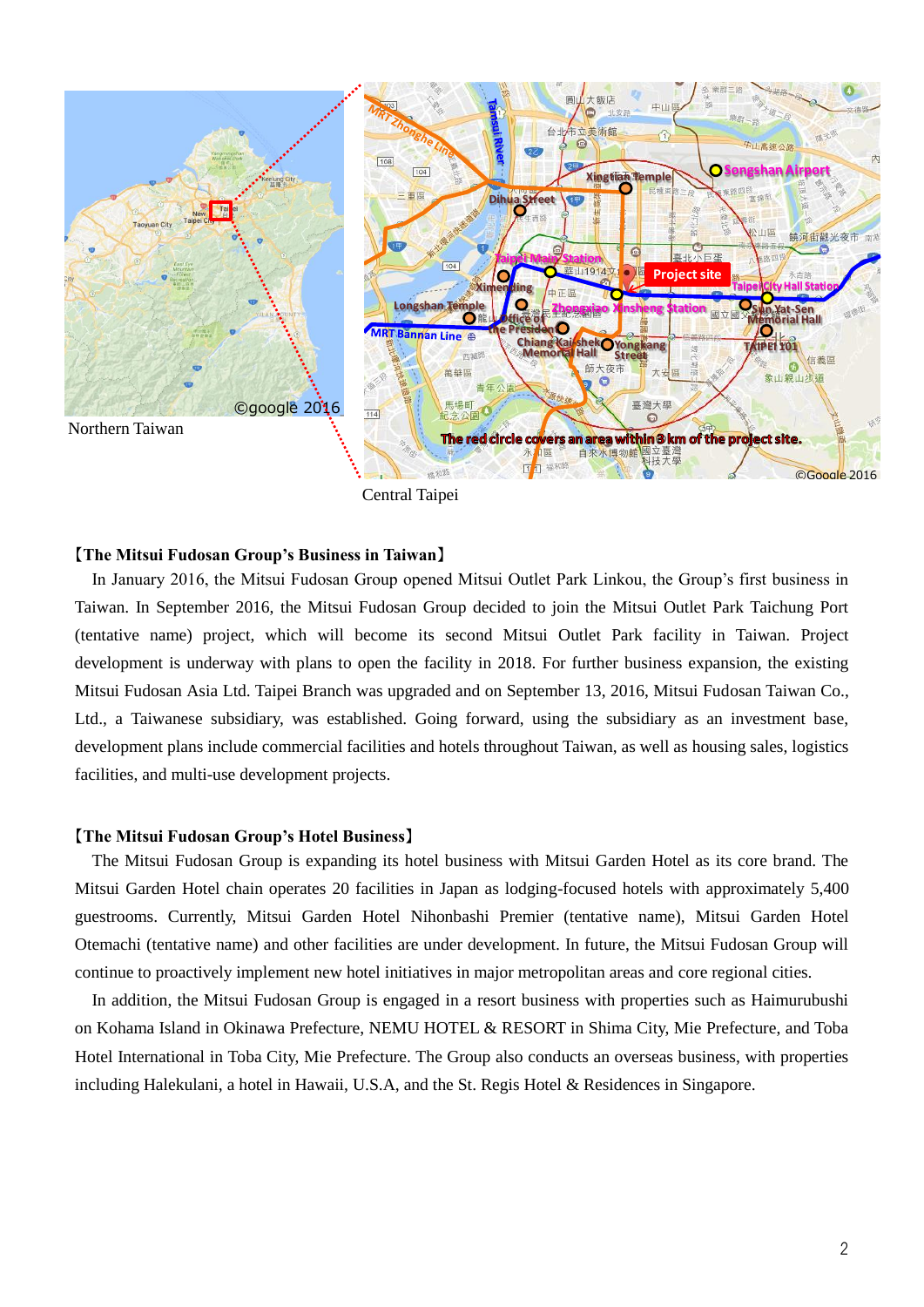

Central Taipei

## 【**The Mitsui Fudosan Group's Business in Taiwan**】

In January 2016, the Mitsui Fudosan Group opened Mitsui Outlet Park Linkou, the Group's first business in Taiwan. In September 2016, the Mitsui Fudosan Group decided to join the Mitsui Outlet Park Taichung Port (tentative name) project, which will become its second Mitsui Outlet Park facility in Taiwan. Project development is underway with plans to open the facility in 2018. For further business expansion, the existing Mitsui Fudosan Asia Ltd. Taipei Branch was upgraded and on September 13, 2016, Mitsui Fudosan Taiwan Co., Ltd., a Taiwanese subsidiary, was established. Going forward, using the subsidiary as an investment base, development plans include commercial facilities and hotels throughout Taiwan, as well as housing sales, logistics facilities, and multi-use development projects.

#### 【**The Mitsui Fudosan Group's Hotel Business**】

The Mitsui Fudosan Group is expanding its hotel business with Mitsui Garden Hotel as its core brand. The Mitsui Garden Hotel chain operates 20 facilities in Japan as lodging-focused hotels with approximately 5,400 guestrooms. Currently, Mitsui Garden Hotel Nihonbashi Premier (tentative name), Mitsui Garden Hotel Otemachi (tentative name) and other facilities are under development. In future, the Mitsui Fudosan Group will continue to proactively implement new hotel initiatives in major metropolitan areas and core regional cities.

In addition, the Mitsui Fudosan Group is engaged in a resort business with properties such as Haimurubushi on Kohama Island in Okinawa Prefecture, NEMU HOTEL & RESORT in Shima City, Mie Prefecture, and Toba Hotel International in Toba City, Mie Prefecture. The Group also conducts an overseas business, with properties including Halekulani, a hotel in Hawaii, U.S.A, and the St. Regis Hotel & Residences in Singapore.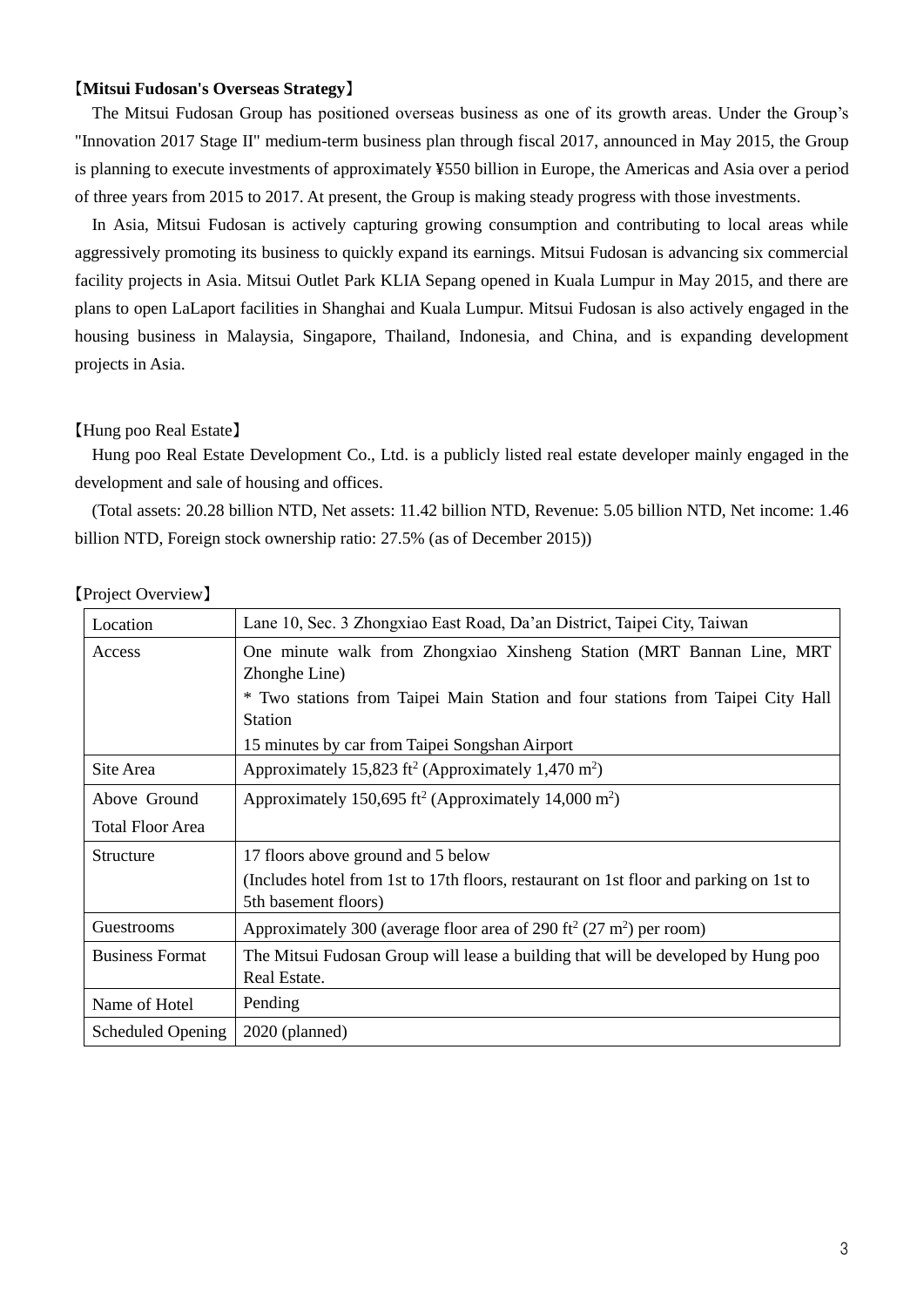## 【**Mitsui Fudosan's Overseas Strategy**】

The Mitsui Fudosan Group has positioned overseas business as one of its growth areas. Under the Group's "Innovation 2017 Stage II" medium-term business plan through fiscal 2017, announced in May 2015, the Group is planning to execute investments of approximately ¥550 billion in Europe, the Americas and Asia over a period of three years from 2015 to 2017. At present, the Group is making steady progress with those investments.

In Asia, Mitsui Fudosan is actively capturing growing consumption and contributing to local areas while aggressively promoting its business to quickly expand its earnings. Mitsui Fudosan is advancing six commercial facility projects in Asia. Mitsui Outlet Park KLIA Sepang opened in Kuala Lumpur in May 2015, and there are plans to open LaLaport facilities in Shanghai and Kuala Lumpur. Mitsui Fudosan is also actively engaged in the housing business in Malaysia, Singapore, Thailand, Indonesia, and China, and is expanding development projects in Asia.

### 【Hung poo Real Estate】

Hung poo Real Estate Development Co., Ltd. is a publicly listed real estate developer mainly engaged in the development and sale of housing and offices.

(Total assets: 20.28 billion NTD, Net assets: 11.42 billion NTD, Revenue: 5.05 billion NTD, Net income: 1.46 billion NTD, Foreign stock ownership ratio: 27.5% (as of December 2015))

| Location                | Lane 10, Sec. 3 Zhongxiao East Road, Da'an District, Taipei City, Taiwan                    |
|-------------------------|---------------------------------------------------------------------------------------------|
| Access                  | One minute walk from Zhongxiao Xinsheng Station (MRT Bannan Line, MRT                       |
|                         | Zhonghe Line)                                                                               |
|                         | * Two stations from Taipei Main Station and four stations from Taipei City Hall             |
|                         | <b>Station</b>                                                                              |
|                         | 15 minutes by car from Taipei Songshan Airport                                              |
| Site Area               | Approximately 15,823 ft <sup>2</sup> (Approximately 1,470 m <sup>2</sup> )                  |
| Above Ground            | Approximately 150,695 ft <sup>2</sup> (Approximately 14,000 m <sup>2</sup> )                |
| <b>Total Floor Area</b> |                                                                                             |
| Structure               | 17 floors above ground and 5 below                                                          |
|                         | (Includes hotel from 1st to 17th floors, restaurant on 1st floor and parking on 1st to      |
|                         | 5th basement floors)                                                                        |
| Guestrooms              | Approximately 300 (average floor area of 290 ft <sup>2</sup> (27 m <sup>2</sup> ) per room) |
| <b>Business Format</b>  | The Mitsui Fudosan Group will lease a building that will be developed by Hung poo           |
|                         | Real Estate.                                                                                |
| Name of Hotel           | Pending                                                                                     |
| Scheduled Opening       | $2020$ (planned)                                                                            |

【Project Overview】